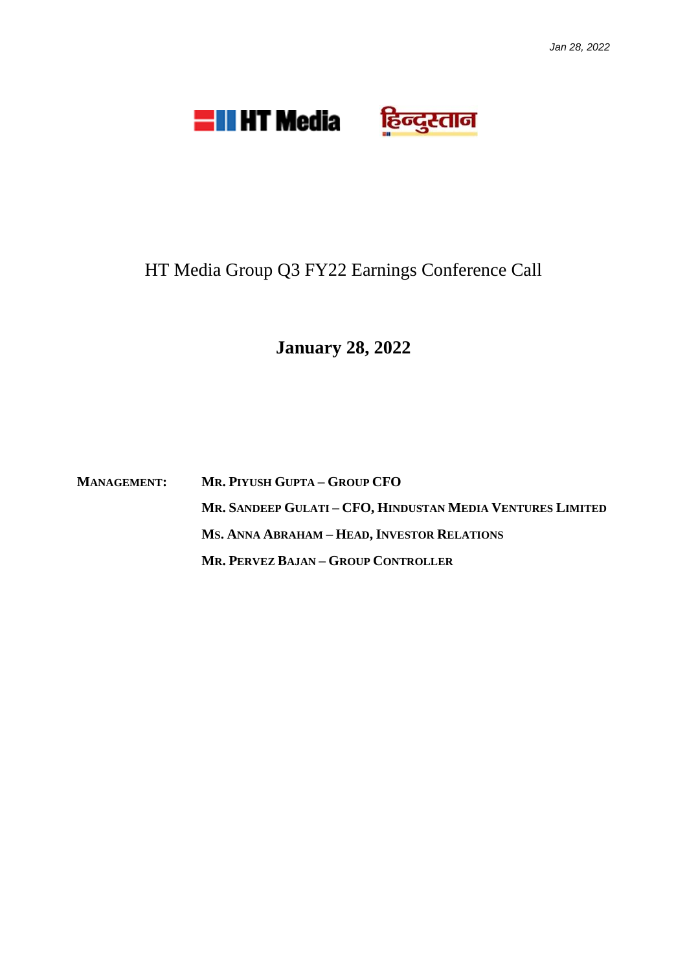



## HT Media Group Q3 FY22 Earnings Conference Call

**January 28, 2022**

**MANAGEMENT: MR. PIYUSH GUPTA – GROUP CFO MR. SANDEEP GULATI – CFO, HINDUSTAN MEDIA VENTURES LIMITED MS. ANNA ABRAHAM – HEAD, INVESTOR RELATIONS MR. PERVEZ BAJAN – GROUP CONTROLLER**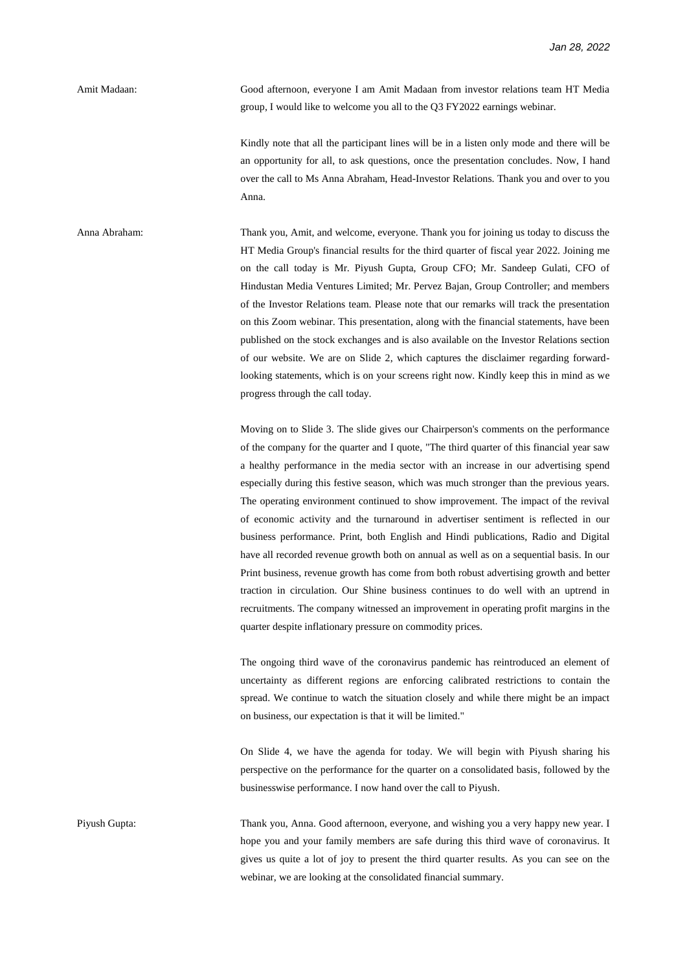Amit Madaan: Good afternoon, everyone I am Amit Madaan from investor relations team HT Media group, I would like to welcome you all to the Q3 FY2022 earnings webinar.

> Kindly note that all the participant lines will be in a listen only mode and there will be an opportunity for all, to ask questions, once the presentation concludes. Now, I hand over the call to Ms Anna Abraham, Head-Investor Relations. Thank you and over to you Anna.

Anna Abraham: Thank you, Amit, and welcome, everyone. Thank you for joining us today to discuss the HT Media Group's financial results for the third quarter of fiscal year 2022. Joining me on the call today is Mr. Piyush Gupta, Group CFO; Mr. Sandeep Gulati, CFO of Hindustan Media Ventures Limited; Mr. Pervez Bajan, Group Controller; and members of the Investor Relations team. Please note that our remarks will track the presentation on this Zoom webinar. This presentation, along with the financial statements, have been published on the stock exchanges and is also available on the Investor Relations section of our website. We are on Slide 2, which captures the disclaimer regarding forwardlooking statements, which is on your screens right now. Kindly keep this in mind as we progress through the call today.

> Moving on to Slide 3. The slide gives our Chairperson's comments on the performance of the company for the quarter and I quote, "The third quarter of this financial year saw a healthy performance in the media sector with an increase in our advertising spend especially during this festive season, which was much stronger than the previous years. The operating environment continued to show improvement. The impact of the revival of economic activity and the turnaround in advertiser sentiment is reflected in our business performance. Print, both English and Hindi publications, Radio and Digital have all recorded revenue growth both on annual as well as on a sequential basis. In our Print business, revenue growth has come from both robust advertising growth and better traction in circulation. Our Shine business continues to do well with an uptrend in recruitments. The company witnessed an improvement in operating profit margins in the quarter despite inflationary pressure on commodity prices.

> The ongoing third wave of the coronavirus pandemic has reintroduced an element of uncertainty as different regions are enforcing calibrated restrictions to contain the spread. We continue to watch the situation closely and while there might be an impact on business, our expectation is that it will be limited."

> On Slide 4, we have the agenda for today. We will begin with Piyush sharing his perspective on the performance for the quarter on a consolidated basis, followed by the businesswise performance. I now hand over the call to Piyush.

Piyush Gupta: Thank you, Anna. Good afternoon, everyone, and wishing you a very happy new year. I hope you and your family members are safe during this third wave of coronavirus. It gives us quite a lot of joy to present the third quarter results. As you can see on the webinar, we are looking at the consolidated financial summary.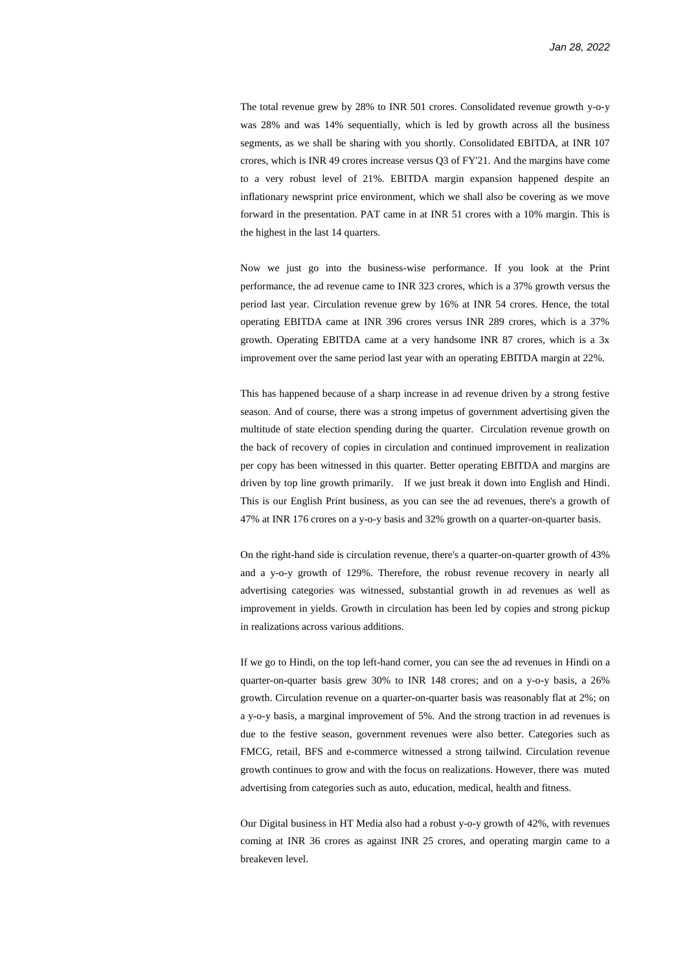The total revenue grew by 28% to INR 501 crores. Consolidated revenue growth y-o-y was 28% and was 14% sequentially, which is led by growth across all the business segments, as we shall be sharing with you shortly. Consolidated EBITDA, at INR 107 crores, which is INR 49 crores increase versus Q3 of FY'21. And the margins have come to a very robust level of 21%. EBITDA margin expansion happened despite an inflationary newsprint price environment, which we shall also be covering as we move forward in the presentation. PAT came in at INR 51 crores with a 10% margin. This is the highest in the last 14 quarters.

Now we just go into the business-wise performance. If you look at the Print performance, the ad revenue came to INR 323 crores, which is a 37% growth versus the period last year. Circulation revenue grew by 16% at INR 54 crores. Hence, the total operating EBITDA came at INR 396 crores versus INR 289 crores, which is a 37% growth. Operating EBITDA came at a very handsome INR 87 crores, which is a 3x improvement over the same period last year with an operating EBITDA margin at 22%.

This has happened because of a sharp increase in ad revenue driven by a strong festive season. And of course, there was a strong impetus of government advertising given the multitude of state election spending during the quarter. Circulation revenue growth on the back of recovery of copies in circulation and continued improvement in realization per copy has been witnessed in this quarter. Better operating EBITDA and margins are driven by top line growth primarily. If we just break it down into English and Hindi. This is our English Print business, as you can see the ad revenues, there's a growth of 47% at INR 176 crores on a y-o-y basis and 32% growth on a quarter-on-quarter basis.

On the right-hand side is circulation revenue, there's a quarter-on-quarter growth of 43% and a y-o-y growth of 129%. Therefore, the robust revenue recovery in nearly all advertising categories was witnessed, substantial growth in ad revenues as well as improvement in yields. Growth in circulation has been led by copies and strong pickup in realizations across various additions.

If we go to Hindi, on the top left-hand corner, you can see the ad revenues in Hindi on a quarter-on-quarter basis grew 30% to INR 148 crores; and on a y-o-y basis, a 26% growth. Circulation revenue on a quarter-on-quarter basis was reasonably flat at 2%; on a y-o-y basis, a marginal improvement of 5%. And the strong traction in ad revenues is due to the festive season, government revenues were also better. Categories such as FMCG, retail, BFS and e-commerce witnessed a strong tailwind. Circulation revenue growth continues to grow and with the focus on realizations. However, there was muted advertising from categories such as auto, education, medical, health and fitness.

Our Digital business in HT Media also had a robust y-o-y growth of 42%, with revenues coming at INR 36 crores as against INR 25 crores, and operating margin came to a breakeven level.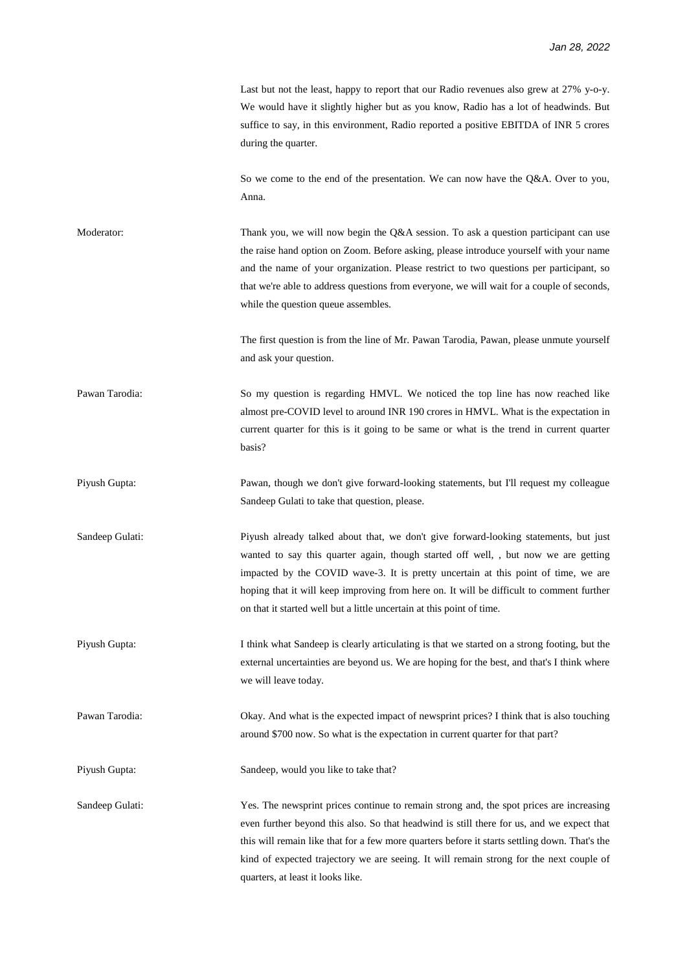|                 | Last but not the least, happy to report that our Radio revenues also grew at 27% y-o-y.<br>We would have it slightly higher but as you know, Radio has a lot of headwinds. But<br>suffice to say, in this environment, Radio reported a positive EBITDA of INR 5 crores<br>during the quarter.                                                                                                                                         |
|-----------------|----------------------------------------------------------------------------------------------------------------------------------------------------------------------------------------------------------------------------------------------------------------------------------------------------------------------------------------------------------------------------------------------------------------------------------------|
|                 | So we come to the end of the presentation. We can now have the Q&A. Over to you,<br>Anna.                                                                                                                                                                                                                                                                                                                                              |
| Moderator:      | Thank you, we will now begin the Q&A session. To ask a question participant can use<br>the raise hand option on Zoom. Before asking, please introduce yourself with your name<br>and the name of your organization. Please restrict to two questions per participant, so<br>that we're able to address questions from everyone, we will wait for a couple of seconds,<br>while the question queue assembles.                           |
|                 | The first question is from the line of Mr. Pawan Tarodia, Pawan, please unmute yourself<br>and ask your question.                                                                                                                                                                                                                                                                                                                      |
| Pawan Tarodia:  | So my question is regarding HMVL. We noticed the top line has now reached like<br>almost pre-COVID level to around INR 190 crores in HMVL. What is the expectation in<br>current quarter for this is it going to be same or what is the trend in current quarter<br>basis?                                                                                                                                                             |
| Piyush Gupta:   | Pawan, though we don't give forward-looking statements, but I'll request my colleague<br>Sandeep Gulati to take that question, please.                                                                                                                                                                                                                                                                                                 |
| Sandeep Gulati: | Piyush already talked about that, we don't give forward-looking statements, but just<br>wanted to say this quarter again, though started off well, , but now we are getting<br>impacted by the COVID wave-3. It is pretty uncertain at this point of time, we are<br>hoping that it will keep improving from here on. It will be difficult to comment further<br>on that it started well but a little uncertain at this point of time. |
| Piyush Gupta:   | I think what Sandeep is clearly articulating is that we started on a strong footing, but the<br>external uncertainties are beyond us. We are hoping for the best, and that's I think where<br>we will leave today.                                                                                                                                                                                                                     |
| Pawan Tarodia:  | Okay. And what is the expected impact of newsprint prices? I think that is also touching<br>around \$700 now. So what is the expectation in current quarter for that part?                                                                                                                                                                                                                                                             |
| Piyush Gupta:   | Sandeep, would you like to take that?                                                                                                                                                                                                                                                                                                                                                                                                  |
| Sandeep Gulati: | Yes. The newsprint prices continue to remain strong and, the spot prices are increasing<br>even further beyond this also. So that headwind is still there for us, and we expect that<br>this will remain like that for a few more quarters before it starts settling down. That's the<br>kind of expected trajectory we are seeing. It will remain strong for the next couple of<br>quarters, at least it looks like.                  |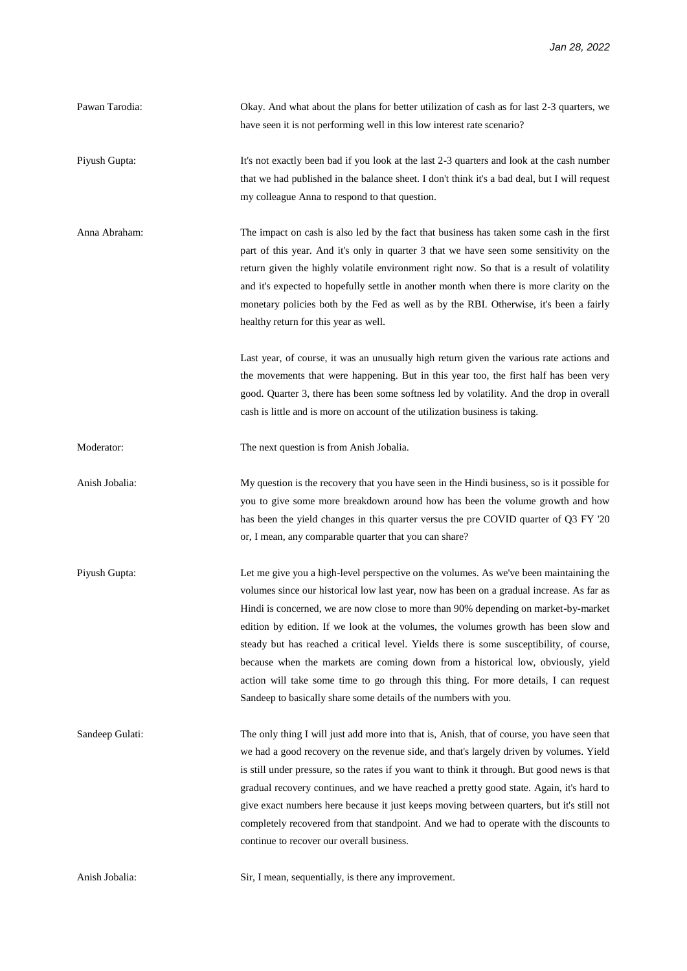| Pawan Tarodia:  | Okay. And what about the plans for better utilization of cash as for last 2-3 quarters, we<br>have seen it is not performing well in this low interest rate scenario?                                                                                                                                                                                                                                                                                                                                                                                                                                                                                                                                         |
|-----------------|---------------------------------------------------------------------------------------------------------------------------------------------------------------------------------------------------------------------------------------------------------------------------------------------------------------------------------------------------------------------------------------------------------------------------------------------------------------------------------------------------------------------------------------------------------------------------------------------------------------------------------------------------------------------------------------------------------------|
| Piyush Gupta:   | It's not exactly been bad if you look at the last 2-3 quarters and look at the cash number<br>that we had published in the balance sheet. I don't think it's a bad deal, but I will request<br>my colleague Anna to respond to that question.                                                                                                                                                                                                                                                                                                                                                                                                                                                                 |
| Anna Abraham:   | The impact on cash is also led by the fact that business has taken some cash in the first<br>part of this year. And it's only in quarter 3 that we have seen some sensitivity on the<br>return given the highly volatile environment right now. So that is a result of volatility<br>and it's expected to hopefully settle in another month when there is more clarity on the<br>monetary policies both by the Fed as well as by the RBI. Otherwise, it's been a fairly<br>healthy return for this year as well.                                                                                                                                                                                              |
|                 | Last year, of course, it was an unusually high return given the various rate actions and<br>the movements that were happening. But in this year too, the first half has been very<br>good. Quarter 3, there has been some softness led by volatility. And the drop in overall<br>cash is little and is more on account of the utilization business is taking.                                                                                                                                                                                                                                                                                                                                                 |
| Moderator:      | The next question is from Anish Jobalia.                                                                                                                                                                                                                                                                                                                                                                                                                                                                                                                                                                                                                                                                      |
| Anish Jobalia:  | My question is the recovery that you have seen in the Hindi business, so is it possible for<br>you to give some more breakdown around how has been the volume growth and how<br>has been the yield changes in this quarter versus the pre COVID quarter of Q3 FY '20<br>or, I mean, any comparable quarter that you can share?                                                                                                                                                                                                                                                                                                                                                                                |
| Piyush Gupta:   | Let me give you a high-level perspective on the volumes. As we've been maintaining the<br>volumes since our historical low last year, now has been on a gradual increase. As far as<br>Hindi is concerned, we are now close to more than 90% depending on market-by-market<br>edition by edition. If we look at the volumes, the volumes growth has been slow and<br>steady but has reached a critical level. Yields there is some susceptibility, of course,<br>because when the markets are coming down from a historical low, obviously, yield<br>action will take some time to go through this thing. For more details, I can request<br>Sandeep to basically share some details of the numbers with you. |
| Sandeep Gulati: | The only thing I will just add more into that is, Anish, that of course, you have seen that<br>we had a good recovery on the revenue side, and that's largely driven by volumes. Yield<br>is still under pressure, so the rates if you want to think it through. But good news is that<br>gradual recovery continues, and we have reached a pretty good state. Again, it's hard to<br>give exact numbers here because it just keeps moving between quarters, but it's still not<br>completely recovered from that standpoint. And we had to operate with the discounts to<br>continue to recover our overall business.                                                                                        |
| Anish Jobalia:  | Sir, I mean, sequentially, is there any improvement.                                                                                                                                                                                                                                                                                                                                                                                                                                                                                                                                                                                                                                                          |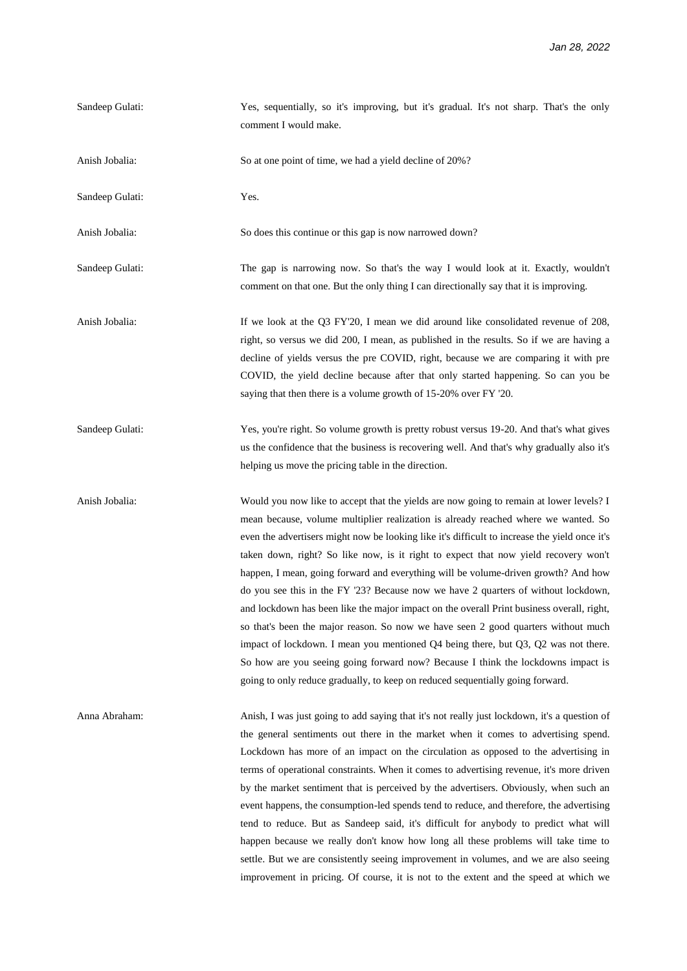| Sandeep Gulati: | Yes, sequentially, so it's improving, but it's gradual. It's not sharp. That's the only<br>comment I would make.                                                                                                                                                                                                                                                                                                                                                                                                                                                                                                                                                                                                                                                                                                                                                                                                                                                                                  |
|-----------------|---------------------------------------------------------------------------------------------------------------------------------------------------------------------------------------------------------------------------------------------------------------------------------------------------------------------------------------------------------------------------------------------------------------------------------------------------------------------------------------------------------------------------------------------------------------------------------------------------------------------------------------------------------------------------------------------------------------------------------------------------------------------------------------------------------------------------------------------------------------------------------------------------------------------------------------------------------------------------------------------------|
| Anish Jobalia:  | So at one point of time, we had a yield decline of 20%?                                                                                                                                                                                                                                                                                                                                                                                                                                                                                                                                                                                                                                                                                                                                                                                                                                                                                                                                           |
| Sandeep Gulati: | Yes.                                                                                                                                                                                                                                                                                                                                                                                                                                                                                                                                                                                                                                                                                                                                                                                                                                                                                                                                                                                              |
| Anish Jobalia:  | So does this continue or this gap is now narrowed down?                                                                                                                                                                                                                                                                                                                                                                                                                                                                                                                                                                                                                                                                                                                                                                                                                                                                                                                                           |
| Sandeep Gulati: | The gap is narrowing now. So that's the way I would look at it. Exactly, wouldn't<br>comment on that one. But the only thing I can directionally say that it is improving.                                                                                                                                                                                                                                                                                                                                                                                                                                                                                                                                                                                                                                                                                                                                                                                                                        |
| Anish Jobalia:  | If we look at the Q3 FY'20, I mean we did around like consolidated revenue of 208,<br>right, so versus we did 200, I mean, as published in the results. So if we are having a<br>decline of yields versus the pre COVID, right, because we are comparing it with pre<br>COVID, the yield decline because after that only started happening. So can you be<br>saying that then there is a volume growth of 15-20% over FY '20.                                                                                                                                                                                                                                                                                                                                                                                                                                                                                                                                                                     |
| Sandeep Gulati: | Yes, you're right. So volume growth is pretty robust versus 19-20. And that's what gives<br>us the confidence that the business is recovering well. And that's why gradually also it's<br>helping us move the pricing table in the direction.                                                                                                                                                                                                                                                                                                                                                                                                                                                                                                                                                                                                                                                                                                                                                     |
| Anish Jobalia:  | Would you now like to accept that the yields are now going to remain at lower levels? I<br>mean because, volume multiplier realization is already reached where we wanted. So<br>even the advertisers might now be looking like it's difficult to increase the yield once it's<br>taken down, right? So like now, is it right to expect that now yield recovery won't<br>happen, I mean, going forward and everything will be volume-driven growth? And how<br>do you see this in the FY $23$ ? Because now we have 2 quarters of without lockdown,<br>and lockdown has been like the major impact on the overall Print business overall, right,<br>so that's been the major reason. So now we have seen 2 good quarters without much<br>impact of lockdown. I mean you mentioned Q4 being there, but Q3, Q2 was not there.<br>So how are you seeing going forward now? Because I think the lockdowns impact is<br>going to only reduce gradually, to keep on reduced sequentially going forward. |
| Anna Abraham:   | Anish, I was just going to add saying that it's not really just lockdown, it's a question of<br>the general sentiments out there in the market when it comes to advertising spend.<br>Lockdown has more of an impact on the circulation as opposed to the advertising in<br>terms of operational constraints. When it comes to advertising revenue, it's more driven<br>by the market sentiment that is perceived by the advertisers. Obviously, when such an<br>event happens, the consumption-led spends tend to reduce, and therefore, the advertising<br>tend to reduce. But as Sandeep said, it's difficult for anybody to predict what will<br>happen because we really don't know how long all these problems will take time to<br>settle. But we are consistently seeing improvement in volumes, and we are also seeing<br>improvement in pricing. Of course, it is not to the extent and the speed at which we                                                                           |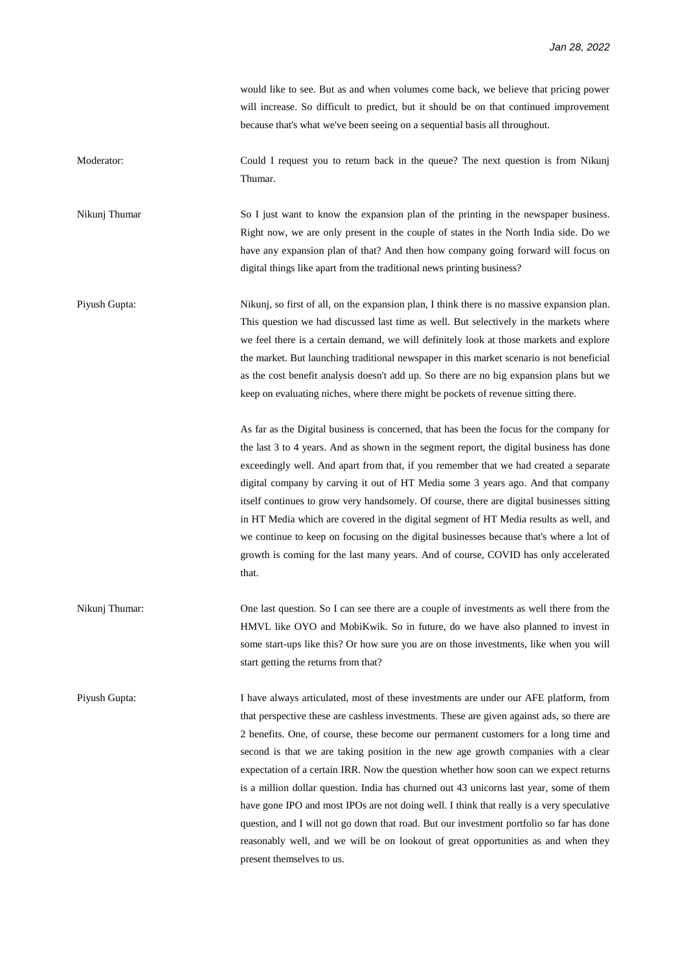would like to see. But as and when volumes come back, we believe that pricing power will increase. So difficult to predict, but it should be on that continued improvement because that's what we've been seeing on a sequential basis all throughout.

Moderator: Could I request you to return back in the queue? The next question is from Nikunj Thumar.

Nikunj Thumar So I just want to know the expansion plan of the printing in the newspaper business. Right now, we are only present in the couple of states in the North India side. Do we have any expansion plan of that? And then how company going forward will focus on digital things like apart from the traditional news printing business?

Piyush Gupta: Nikunj, so first of all, on the expansion plan, I think there is no massive expansion plan. This question we had discussed last time as well. But selectively in the markets where we feel there is a certain demand, we will definitely look at those markets and explore the market. But launching traditional newspaper in this market scenario is not beneficial as the cost benefit analysis doesn't add up. So there are no big expansion plans but we keep on evaluating niches, where there might be pockets of revenue sitting there.

> As far as the Digital business is concerned, that has been the focus for the company for the last 3 to 4 years. And as shown in the segment report, the digital business has done exceedingly well. And apart from that, if you remember that we had created a separate digital company by carving it out of HT Media some 3 years ago. And that company itself continues to grow very handsomely. Of course, there are digital businesses sitting in HT Media which are covered in the digital segment of HT Media results as well, and we continue to keep on focusing on the digital businesses because that's where a lot of growth is coming for the last many years. And of course, COVID has only accelerated that.

Nikunj Thumar: One last question. So I can see there are a couple of investments as well there from the HMVL like OYO and MobiKwik. So in future, do we have also planned to invest in some start-ups like this? Or how sure you are on those investments, like when you will start getting the returns from that?

Piyush Gupta: I have always articulated, most of these investments are under our AFE platform, from that perspective these are cashless investments. These are given against ads, so there are 2 benefits. One, of course, these become our permanent customers for a long time and second is that we are taking position in the new age growth companies with a clear expectation of a certain IRR. Now the question whether how soon can we expect returns is a million dollar question. India has churned out 43 unicorns last year, some of them have gone IPO and most IPOs are not doing well. I think that really is a very speculative question, and I will not go down that road. But our investment portfolio so far has done reasonably well, and we will be on lookout of great opportunities as and when they present themselves to us.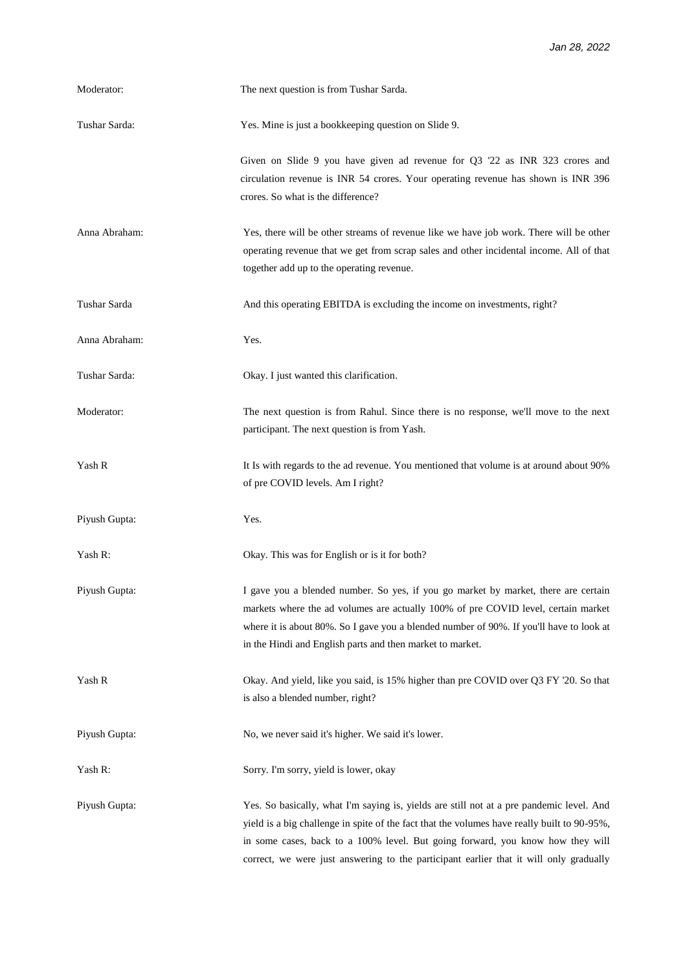| Moderator:    | The next question is from Tushar Sarda.                                                                                                                                                                                                                                                                                                                             |
|---------------|---------------------------------------------------------------------------------------------------------------------------------------------------------------------------------------------------------------------------------------------------------------------------------------------------------------------------------------------------------------------|
| Tushar Sarda: | Yes. Mine is just a bookkeeping question on Slide 9.                                                                                                                                                                                                                                                                                                                |
|               | Given on Slide 9 you have given ad revenue for Q3 '22 as INR 323 crores and<br>circulation revenue is INR 54 crores. Your operating revenue has shown is INR 396<br>crores. So what is the difference?                                                                                                                                                              |
| Anna Abraham: | Yes, there will be other streams of revenue like we have job work. There will be other<br>operating revenue that we get from scrap sales and other incidental income. All of that<br>together add up to the operating revenue.                                                                                                                                      |
| Tushar Sarda  | And this operating EBITDA is excluding the income on investments, right?                                                                                                                                                                                                                                                                                            |
| Anna Abraham: | Yes.                                                                                                                                                                                                                                                                                                                                                                |
| Tushar Sarda: | Okay. I just wanted this clarification.                                                                                                                                                                                                                                                                                                                             |
| Moderator:    | The next question is from Rahul. Since there is no response, we'll move to the next<br>participant. The next question is from Yash.                                                                                                                                                                                                                                 |
| Yash R        | It Is with regards to the ad revenue. You mentioned that volume is at around about 90%<br>of pre COVID levels. Am I right?                                                                                                                                                                                                                                          |
| Piyush Gupta: | Yes.                                                                                                                                                                                                                                                                                                                                                                |
| Yash R:       | Okay. This was for English or is it for both?                                                                                                                                                                                                                                                                                                                       |
| Piyush Gupta: | I gave you a blended number. So yes, if you go market by market, there are certain<br>markets where the ad volumes are actually 100% of pre COVID level, certain market<br>where it is about 80%. So I gave you a blended number of 90%. If you'll have to look at<br>in the Hindi and English parts and then market to market.                                     |
| Yash R        | Okay. And yield, like you said, is 15% higher than pre COVID over Q3 FY '20. So that<br>is also a blended number, right?                                                                                                                                                                                                                                            |
| Piyush Gupta: | No, we never said it's higher. We said it's lower.                                                                                                                                                                                                                                                                                                                  |
| Yash R:       | Sorry. I'm sorry, yield is lower, okay                                                                                                                                                                                                                                                                                                                              |
| Piyush Gupta: | Yes. So basically, what I'm saying is, yields are still not at a pre pandemic level. And<br>yield is a big challenge in spite of the fact that the volumes have really built to 90-95%,<br>in some cases, back to a 100% level. But going forward, you know how they will<br>correct, we were just answering to the participant earlier that it will only gradually |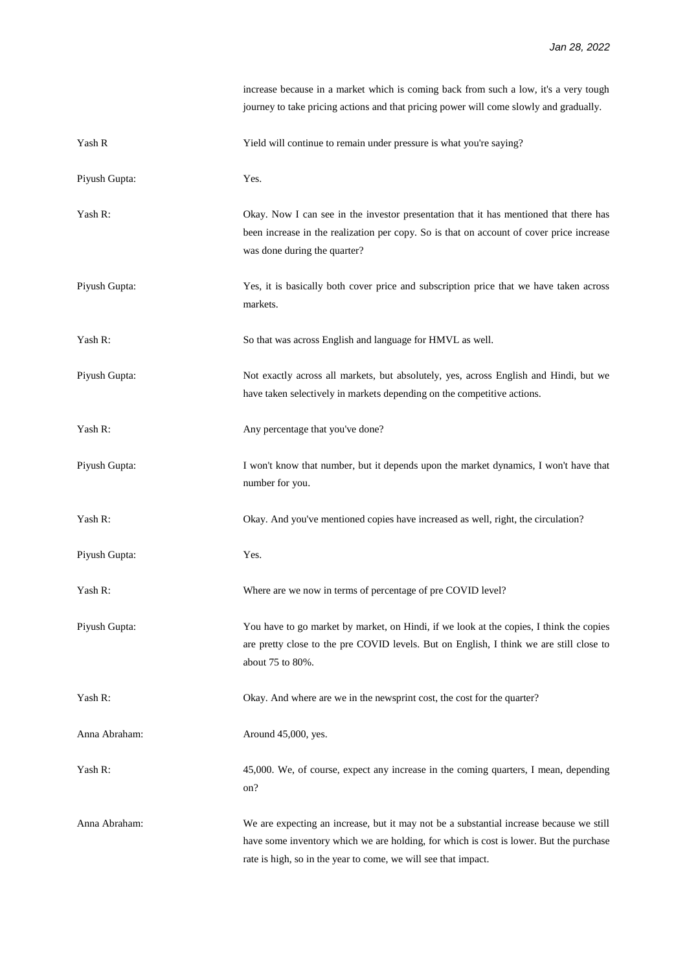|               | increase because in a market which is coming back from such a low, it's a very tough<br>journey to take pricing actions and that pricing power will come slowly and gradually.                                                                      |
|---------------|-----------------------------------------------------------------------------------------------------------------------------------------------------------------------------------------------------------------------------------------------------|
| Yash R        | Yield will continue to remain under pressure is what you're saying?                                                                                                                                                                                 |
| Piyush Gupta: | Yes.                                                                                                                                                                                                                                                |
| Yash R:       | Okay. Now I can see in the investor presentation that it has mentioned that there has<br>been increase in the realization per copy. So is that on account of cover price increase<br>was done during the quarter?                                   |
| Piyush Gupta: | Yes, it is basically both cover price and subscription price that we have taken across<br>markets.                                                                                                                                                  |
| Yash R:       | So that was across English and language for HMVL as well.                                                                                                                                                                                           |
| Piyush Gupta: | Not exactly across all markets, but absolutely, yes, across English and Hindi, but we<br>have taken selectively in markets depending on the competitive actions.                                                                                    |
| Yash R:       | Any percentage that you've done?                                                                                                                                                                                                                    |
| Piyush Gupta: | I won't know that number, but it depends upon the market dynamics, I won't have that<br>number for you.                                                                                                                                             |
| Yash R:       | Okay. And you've mentioned copies have increased as well, right, the circulation?                                                                                                                                                                   |
| Piyush Gupta: | Yes.                                                                                                                                                                                                                                                |
| Yash R:       | Where are we now in terms of percentage of pre COVID level?                                                                                                                                                                                         |
| Piyush Gupta: | You have to go market by market, on Hindi, if we look at the copies, I think the copies<br>are pretty close to the pre COVID levels. But on English, I think we are still close to<br>about 75 to 80%.                                              |
| Yash R:       | Okay. And where are we in the newsprint cost, the cost for the quarter?                                                                                                                                                                             |
| Anna Abraham: | Around 45,000, yes.                                                                                                                                                                                                                                 |
| Yash R:       | 45,000. We, of course, expect any increase in the coming quarters, I mean, depending<br>on?                                                                                                                                                         |
| Anna Abraham: | We are expecting an increase, but it may not be a substantial increase because we still<br>have some inventory which we are holding, for which is cost is lower. But the purchase<br>rate is high, so in the year to come, we will see that impact. |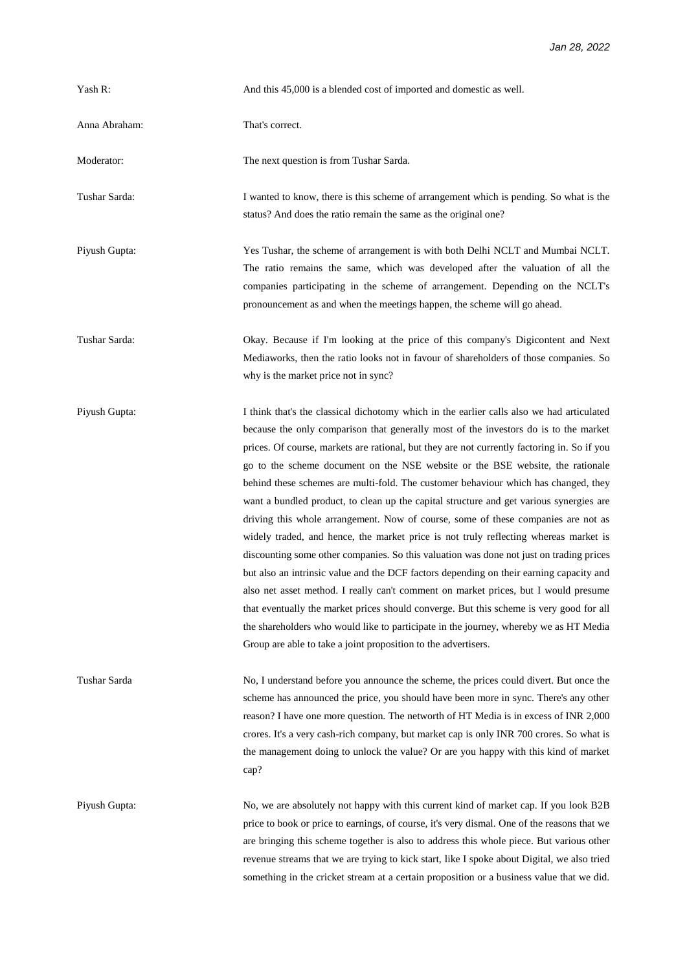| Yash R:       | And this 45,000 is a blended cost of imported and domestic as well.                                                                                                                                                                                                                                                                                                                                                                                                                                                                                                                                                                                                                                                                                                                                                                                                                                                                                                                                                                                                                                                                                                                                                                                                  |
|---------------|----------------------------------------------------------------------------------------------------------------------------------------------------------------------------------------------------------------------------------------------------------------------------------------------------------------------------------------------------------------------------------------------------------------------------------------------------------------------------------------------------------------------------------------------------------------------------------------------------------------------------------------------------------------------------------------------------------------------------------------------------------------------------------------------------------------------------------------------------------------------------------------------------------------------------------------------------------------------------------------------------------------------------------------------------------------------------------------------------------------------------------------------------------------------------------------------------------------------------------------------------------------------|
| Anna Abraham: | That's correct.                                                                                                                                                                                                                                                                                                                                                                                                                                                                                                                                                                                                                                                                                                                                                                                                                                                                                                                                                                                                                                                                                                                                                                                                                                                      |
| Moderator:    | The next question is from Tushar Sarda.                                                                                                                                                                                                                                                                                                                                                                                                                                                                                                                                                                                                                                                                                                                                                                                                                                                                                                                                                                                                                                                                                                                                                                                                                              |
| Tushar Sarda: | I wanted to know, there is this scheme of arrangement which is pending. So what is the<br>status? And does the ratio remain the same as the original one?                                                                                                                                                                                                                                                                                                                                                                                                                                                                                                                                                                                                                                                                                                                                                                                                                                                                                                                                                                                                                                                                                                            |
| Piyush Gupta: | Yes Tushar, the scheme of arrangement is with both Delhi NCLT and Mumbai NCLT.<br>The ratio remains the same, which was developed after the valuation of all the<br>companies participating in the scheme of arrangement. Depending on the NCLT's<br>pronouncement as and when the meetings happen, the scheme will go ahead.                                                                                                                                                                                                                                                                                                                                                                                                                                                                                                                                                                                                                                                                                                                                                                                                                                                                                                                                        |
| Tushar Sarda: | Okay. Because if I'm looking at the price of this company's Digicontent and Next<br>Mediaworks, then the ratio looks not in favour of shareholders of those companies. So<br>why is the market price not in sync?                                                                                                                                                                                                                                                                                                                                                                                                                                                                                                                                                                                                                                                                                                                                                                                                                                                                                                                                                                                                                                                    |
| Piyush Gupta: | I think that's the classical dichotomy which in the earlier calls also we had articulated<br>because the only comparison that generally most of the investors do is to the market<br>prices. Of course, markets are rational, but they are not currently factoring in. So if you<br>go to the scheme document on the NSE website or the BSE website, the rationale<br>behind these schemes are multi-fold. The customer behaviour which has changed, they<br>want a bundled product, to clean up the capital structure and get various synergies are<br>driving this whole arrangement. Now of course, some of these companies are not as<br>widely traded, and hence, the market price is not truly reflecting whereas market is<br>discounting some other companies. So this valuation was done not just on trading prices<br>but also an intrinsic value and the DCF factors depending on their earning capacity and<br>also net asset method. I really can't comment on market prices, but I would presume<br>that eventually the market prices should converge. But this scheme is very good for all<br>the shareholders who would like to participate in the journey, whereby we as HT Media<br>Group are able to take a joint proposition to the advertisers. |
| Tushar Sarda  | No, I understand before you announce the scheme, the prices could divert. But once the<br>scheme has announced the price, you should have been more in sync. There's any other<br>reason? I have one more question. The networth of HT Media is in excess of INR 2,000<br>crores. It's a very cash-rich company, but market cap is only INR 700 crores. So what is<br>the management doing to unlock the value? Or are you happy with this kind of market<br>cap?                                                                                                                                                                                                                                                                                                                                                                                                                                                                                                                                                                                                                                                                                                                                                                                                    |
| Piyush Gupta: | No, we are absolutely not happy with this current kind of market cap. If you look B2B<br>price to book or price to earnings, of course, it's very dismal. One of the reasons that we<br>are bringing this scheme together is also to address this whole piece. But various other<br>revenue streams that we are trying to kick start, like I spoke about Digital, we also tried<br>something in the cricket stream at a certain proposition or a business value that we did.                                                                                                                                                                                                                                                                                                                                                                                                                                                                                                                                                                                                                                                                                                                                                                                         |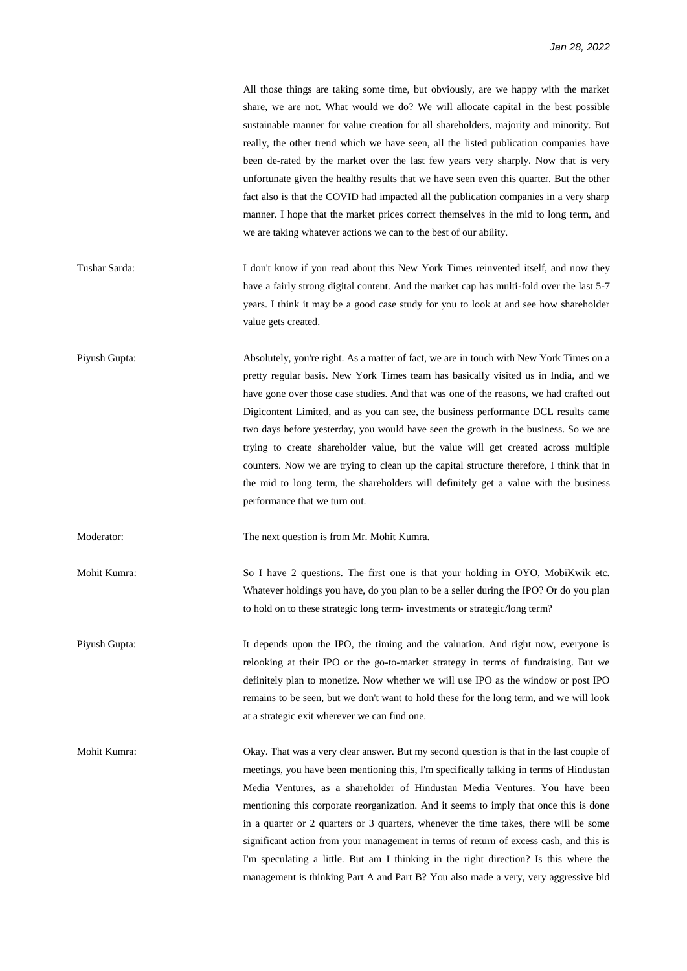All those things are taking some time, but obviously, are we happy with the market share, we are not. What would we do? We will allocate capital in the best possible sustainable manner for value creation for all shareholders, majority and minority. But really, the other trend which we have seen, all the listed publication companies have been de-rated by the market over the last few years very sharply. Now that is very unfortunate given the healthy results that we have seen even this quarter. But the other fact also is that the COVID had impacted all the publication companies in a very sharp manner. I hope that the market prices correct themselves in the mid to long term, and we are taking whatever actions we can to the best of our ability.

Tushar Sarda: I don't know if you read about this New York Times reinvented itself, and now they have a fairly strong digital content. And the market cap has multi-fold over the last 5-7 years. I think it may be a good case study for you to look at and see how shareholder value gets created.

Piyush Gupta: Absolutely, you're right. As a matter of fact, we are in touch with New York Times on a pretty regular basis. New York Times team has basically visited us in India, and we have gone over those case studies. And that was one of the reasons, we had crafted out Digicontent Limited, and as you can see, the business performance DCL results came two days before yesterday, you would have seen the growth in the business. So we are trying to create shareholder value, but the value will get created across multiple counters. Now we are trying to clean up the capital structure therefore, I think that in the mid to long term, the shareholders will definitely get a value with the business performance that we turn out.

Moderator: The next question is from Mr. Mohit Kumra.

Mohit Kumra: So I have 2 questions. The first one is that your holding in OYO, MobiKwik etc. Whatever holdings you have, do you plan to be a seller during the IPO? Or do you plan to hold on to these strategic long term- investments or strategic/long term?

Piyush Gupta: It depends upon the IPO, the timing and the valuation. And right now, everyone is relooking at their IPO or the go-to-market strategy in terms of fundraising. But we definitely plan to monetize. Now whether we will use IPO as the window or post IPO remains to be seen, but we don't want to hold these for the long term, and we will look at a strategic exit wherever we can find one.

Mohit Kumra: Okay. That was a very clear answer. But my second question is that in the last couple of meetings, you have been mentioning this, I'm specifically talking in terms of Hindustan Media Ventures, as a shareholder of Hindustan Media Ventures. You have been mentioning this corporate reorganization. And it seems to imply that once this is done in a quarter or 2 quarters or 3 quarters, whenever the time takes, there will be some significant action from your management in terms of return of excess cash, and this is I'm speculating a little. But am I thinking in the right direction? Is this where the management is thinking Part A and Part B? You also made a very, very aggressive bid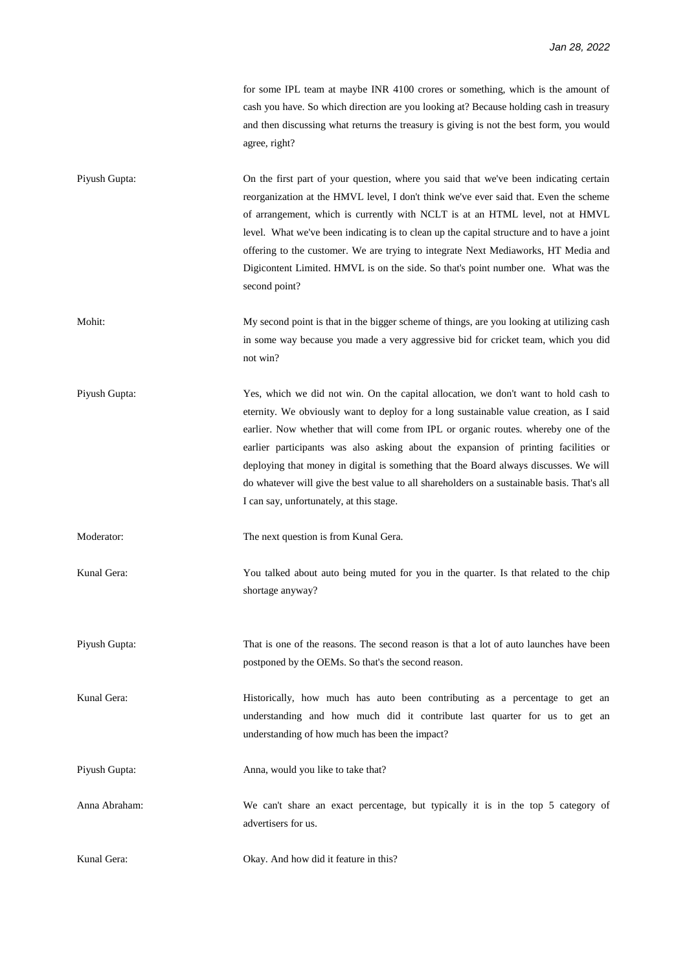|               | for some IPL team at maybe INR 4100 crores or something, which is the amount of<br>cash you have. So which direction are you looking at? Because holding cash in treasury<br>and then discussing what returns the treasury is giving is not the best form, you would<br>agree, right?                                                                                                                                                                                                                                                                                                         |
|---------------|-----------------------------------------------------------------------------------------------------------------------------------------------------------------------------------------------------------------------------------------------------------------------------------------------------------------------------------------------------------------------------------------------------------------------------------------------------------------------------------------------------------------------------------------------------------------------------------------------|
| Piyush Gupta: | On the first part of your question, where you said that we've been indicating certain<br>reorganization at the HMVL level, I don't think we've ever said that. Even the scheme<br>of arrangement, which is currently with NCLT is at an HTML level, not at HMVL<br>level. What we've been indicating is to clean up the capital structure and to have a joint<br>offering to the customer. We are trying to integrate Next Mediaworks, HT Media and<br>Digicontent Limited. HMVL is on the side. So that's point number one. What was the<br>second point?                                    |
| Mohit:        | My second point is that in the bigger scheme of things, are you looking at utilizing cash<br>in some way because you made a very aggressive bid for cricket team, which you did<br>not win?                                                                                                                                                                                                                                                                                                                                                                                                   |
| Piyush Gupta: | Yes, which we did not win. On the capital allocation, we don't want to hold cash to<br>eternity. We obviously want to deploy for a long sustainable value creation, as I said<br>earlier. Now whether that will come from IPL or organic routes. whereby one of the<br>earlier participants was also asking about the expansion of printing facilities or<br>deploying that money in digital is something that the Board always discusses. We will<br>do whatever will give the best value to all shareholders on a sustainable basis. That's all<br>I can say, unfortunately, at this stage. |
| Moderator:    | The next question is from Kunal Gera.                                                                                                                                                                                                                                                                                                                                                                                                                                                                                                                                                         |
| Kunal Gera:   | You talked about auto being muted for you in the quarter. Is that related to the chip<br>shortage anyway?                                                                                                                                                                                                                                                                                                                                                                                                                                                                                     |
| Piyush Gupta: | That is one of the reasons. The second reason is that a lot of auto launches have been<br>postponed by the OEMs. So that's the second reason.                                                                                                                                                                                                                                                                                                                                                                                                                                                 |
| Kunal Gera:   | Historically, how much has auto been contributing as a percentage to get an<br>understanding and how much did it contribute last quarter for us to get an<br>understanding of how much has been the impact?                                                                                                                                                                                                                                                                                                                                                                                   |
| Piyush Gupta: | Anna, would you like to take that?                                                                                                                                                                                                                                                                                                                                                                                                                                                                                                                                                            |
| Anna Abraham: | We can't share an exact percentage, but typically it is in the top 5 category of<br>advertisers for us.                                                                                                                                                                                                                                                                                                                                                                                                                                                                                       |
| Kunal Gera:   | Okay. And how did it feature in this?                                                                                                                                                                                                                                                                                                                                                                                                                                                                                                                                                         |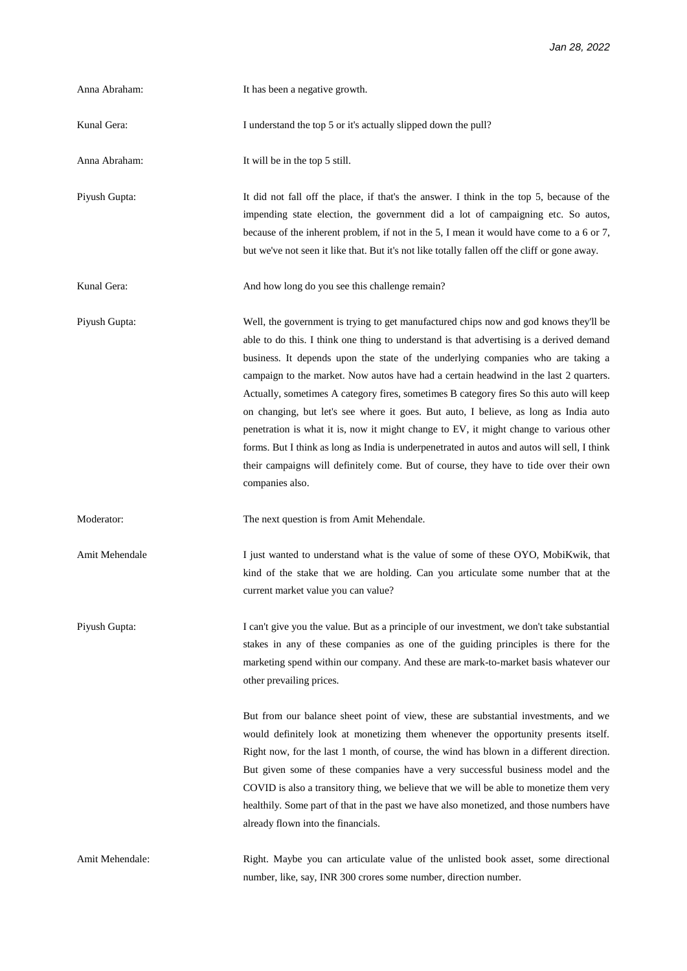| Anna Abraham:   | It has been a negative growth.                                                                                                                                                                                                                                                                                                                                                                                                                                                                                                                                                                                                                                                                                                                                                                                                                          |
|-----------------|---------------------------------------------------------------------------------------------------------------------------------------------------------------------------------------------------------------------------------------------------------------------------------------------------------------------------------------------------------------------------------------------------------------------------------------------------------------------------------------------------------------------------------------------------------------------------------------------------------------------------------------------------------------------------------------------------------------------------------------------------------------------------------------------------------------------------------------------------------|
| Kunal Gera:     | I understand the top 5 or it's actually slipped down the pull?                                                                                                                                                                                                                                                                                                                                                                                                                                                                                                                                                                                                                                                                                                                                                                                          |
| Anna Abraham:   | It will be in the top 5 still.                                                                                                                                                                                                                                                                                                                                                                                                                                                                                                                                                                                                                                                                                                                                                                                                                          |
| Piyush Gupta:   | It did not fall off the place, if that's the answer. I think in the top 5, because of the<br>impending state election, the government did a lot of campaigning etc. So autos,<br>because of the inherent problem, if not in the 5, I mean it would have come to a 6 or 7,<br>but we've not seen it like that. But it's not like totally fallen off the cliff or gone away.                                                                                                                                                                                                                                                                                                                                                                                                                                                                              |
| Kunal Gera:     | And how long do you see this challenge remain?                                                                                                                                                                                                                                                                                                                                                                                                                                                                                                                                                                                                                                                                                                                                                                                                          |
| Piyush Gupta:   | Well, the government is trying to get manufactured chips now and god knows they'll be<br>able to do this. I think one thing to understand is that advertising is a derived demand<br>business. It depends upon the state of the underlying companies who are taking a<br>campaign to the market. Now autos have had a certain headwind in the last 2 quarters.<br>Actually, sometimes A category fires, sometimes B category fires So this auto will keep<br>on changing, but let's see where it goes. But auto, I believe, as long as India auto<br>penetration is what it is, now it might change to EV, it might change to various other<br>forms. But I think as long as India is underpenetrated in autos and autos will sell, I think<br>their campaigns will definitely come. But of course, they have to tide over their own<br>companies also. |
| Moderator:      | The next question is from Amit Mehendale.                                                                                                                                                                                                                                                                                                                                                                                                                                                                                                                                                                                                                                                                                                                                                                                                               |
| Amit Mehendale  | I just wanted to understand what is the value of some of these OYO, MobiKwik, that<br>kind of the stake that we are holding. Can you articulate some number that at the<br>current market value you can value?                                                                                                                                                                                                                                                                                                                                                                                                                                                                                                                                                                                                                                          |
| Piyush Gupta:   | I can't give you the value. But as a principle of our investment, we don't take substantial<br>stakes in any of these companies as one of the guiding principles is there for the<br>marketing spend within our company. And these are mark-to-market basis whatever our<br>other prevailing prices.                                                                                                                                                                                                                                                                                                                                                                                                                                                                                                                                                    |
|                 | But from our balance sheet point of view, these are substantial investments, and we<br>would definitely look at monetizing them whenever the opportunity presents itself.<br>Right now, for the last 1 month, of course, the wind has blown in a different direction.<br>But given some of these companies have a very successful business model and the<br>COVID is also a transitory thing, we believe that we will be able to monetize them very<br>healthily. Some part of that in the past we have also monetized, and those numbers have<br>already flown into the financials.                                                                                                                                                                                                                                                                    |
| Amit Mehendale: | Right. Maybe you can articulate value of the unlisted book asset, some directional<br>number, like, say, INR 300 crores some number, direction number.                                                                                                                                                                                                                                                                                                                                                                                                                                                                                                                                                                                                                                                                                                  |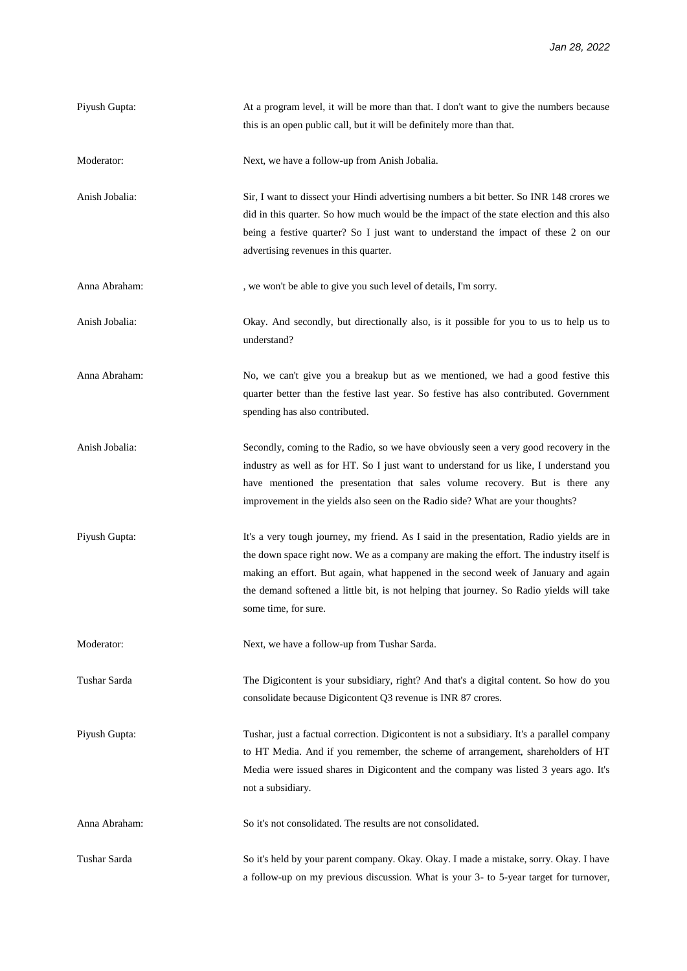| Piyush Gupta:  | At a program level, it will be more than that. I don't want to give the numbers because<br>this is an open public call, but it will be definitely more than that.                                                                                                                                                                                                                             |
|----------------|-----------------------------------------------------------------------------------------------------------------------------------------------------------------------------------------------------------------------------------------------------------------------------------------------------------------------------------------------------------------------------------------------|
| Moderator:     | Next, we have a follow-up from Anish Jobalia.                                                                                                                                                                                                                                                                                                                                                 |
| Anish Jobalia: | Sir, I want to dissect your Hindi advertising numbers a bit better. So INR 148 crores we<br>did in this quarter. So how much would be the impact of the state election and this also<br>being a festive quarter? So I just want to understand the impact of these 2 on our<br>advertising revenues in this quarter.                                                                           |
| Anna Abraham:  | , we won't be able to give you such level of details, I'm sorry.                                                                                                                                                                                                                                                                                                                              |
| Anish Jobalia: | Okay. And secondly, but directionally also, is it possible for you to us to help us to<br>understand?                                                                                                                                                                                                                                                                                         |
| Anna Abraham:  | No, we can't give you a breakup but as we mentioned, we had a good festive this<br>quarter better than the festive last year. So festive has also contributed. Government<br>spending has also contributed.                                                                                                                                                                                   |
| Anish Jobalia: | Secondly, coming to the Radio, so we have obviously seen a very good recovery in the<br>industry as well as for HT. So I just want to understand for us like, I understand you<br>have mentioned the presentation that sales volume recovery. But is there any<br>improvement in the yields also seen on the Radio side? What are your thoughts?                                              |
| Piyush Gupta:  | It's a very tough journey, my friend. As I said in the presentation, Radio yields are in<br>the down space right now. We as a company are making the effort. The industry itself is<br>making an effort. But again, what happened in the second week of January and again<br>the demand softened a little bit, is not helping that journey. So Radio yields will take<br>some time, for sure. |
| Moderator:     | Next, we have a follow-up from Tushar Sarda.                                                                                                                                                                                                                                                                                                                                                  |
| Tushar Sarda   | The Digicontent is your subsidiary, right? And that's a digital content. So how do you<br>consolidate because Digicontent Q3 revenue is INR 87 crores.                                                                                                                                                                                                                                        |
| Piyush Gupta:  | Tushar, just a factual correction. Digicontent is not a subsidiary. It's a parallel company<br>to HT Media. And if you remember, the scheme of arrangement, shareholders of HT<br>Media were issued shares in Digicontent and the company was listed 3 years ago. It's<br>not a subsidiary.                                                                                                   |
| Anna Abraham:  | So it's not consolidated. The results are not consolidated.                                                                                                                                                                                                                                                                                                                                   |
| Tushar Sarda   | So it's held by your parent company. Okay. Okay. I made a mistake, sorry. Okay. I have<br>a follow-up on my previous discussion. What is your 3- to 5-year target for turnover,                                                                                                                                                                                                               |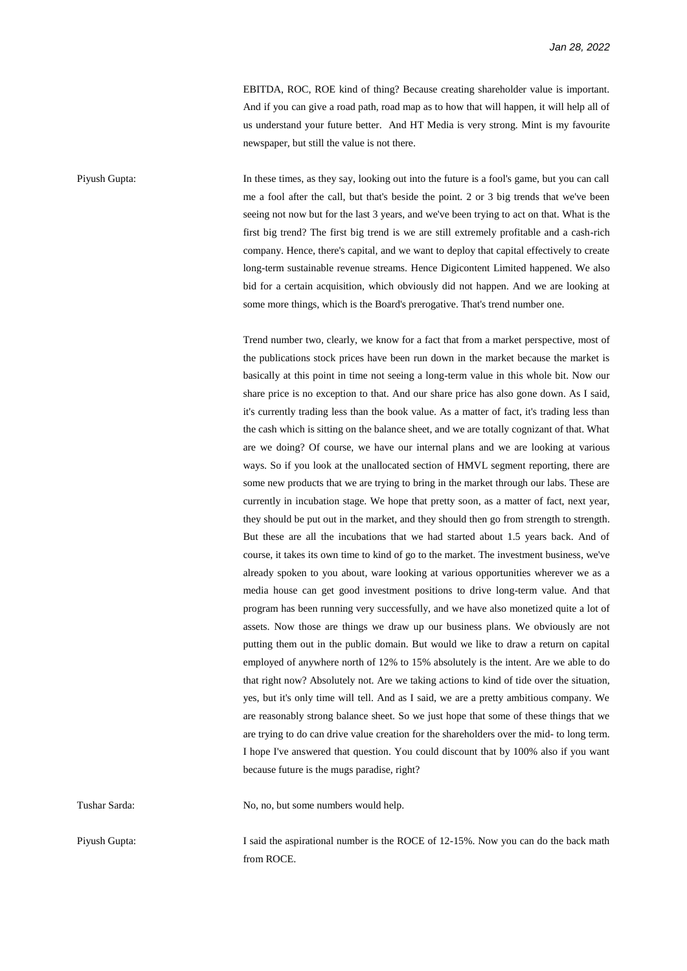EBITDA, ROC, ROE kind of thing? Because creating shareholder value is important. And if you can give a road path, road map as to how that will happen, it will help all of us understand your future better. And HT Media is very strong. Mint is my favourite newspaper, but still the value is not there.

Piyush Gupta: In these times, as they say, looking out into the future is a fool's game, but you can call me a fool after the call, but that's beside the point. 2 or 3 big trends that we've been seeing not now but for the last 3 years, and we've been trying to act on that. What is the first big trend? The first big trend is we are still extremely profitable and a cash-rich company. Hence, there's capital, and we want to deploy that capital effectively to create long-term sustainable revenue streams. Hence Digicontent Limited happened. We also bid for a certain acquisition, which obviously did not happen. And we are looking at some more things, which is the Board's prerogative. That's trend number one.

> Trend number two, clearly, we know for a fact that from a market perspective, most of the publications stock prices have been run down in the market because the market is basically at this point in time not seeing a long-term value in this whole bit. Now our share price is no exception to that. And our share price has also gone down. As I said, it's currently trading less than the book value. As a matter of fact, it's trading less than the cash which is sitting on the balance sheet, and we are totally cognizant of that. What are we doing? Of course, we have our internal plans and we are looking at various ways. So if you look at the unallocated section of HMVL segment reporting, there are some new products that we are trying to bring in the market through our labs. These are currently in incubation stage. We hope that pretty soon, as a matter of fact, next year, they should be put out in the market, and they should then go from strength to strength. But these are all the incubations that we had started about 1.5 years back. And of course, it takes its own time to kind of go to the market. The investment business, we've already spoken to you about, ware looking at various opportunities wherever we as a media house can get good investment positions to drive long-term value. And that program has been running very successfully, and we have also monetized quite a lot of assets. Now those are things we draw up our business plans. We obviously are not putting them out in the public domain. But would we like to draw a return on capital employed of anywhere north of 12% to 15% absolutely is the intent. Are we able to do that right now? Absolutely not. Are we taking actions to kind of tide over the situation, yes, but it's only time will tell. And as I said, we are a pretty ambitious company. We are reasonably strong balance sheet. So we just hope that some of these things that we are trying to do can drive value creation for the shareholders over the mid- to long term. I hope I've answered that question. You could discount that by 100% also if you want because future is the mugs paradise, right?

Tushar Sarda: No, no, but some numbers would help.

Piyush Gupta: I said the aspirational number is the ROCE of 12-15%. Now you can do the back math from ROCE.